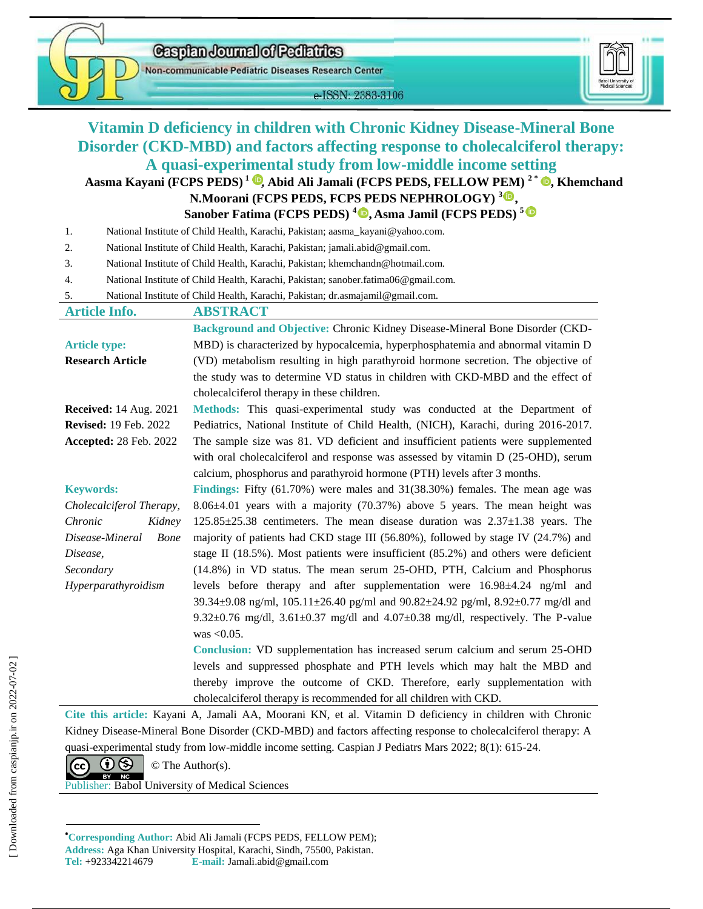Caspian Journal of Pediatrics



Non-communicable Pediatric Diseases Research Center

e-ISSN: 2383-3106



# **Vitamin D deficiency in children with Chronic Kidney Disease-Mineral Bone Disorder (CKD-MBD) and factors affecting response to cholecalciferol therapy: A quasi-experimental study from low-middle income setting**

## **Aasma Kayani (FCPS PEDS) <sup>1</sup>[,](https://orcid.org/0000-0003-1948-4730) Abid Ali Jamali (FCPS PEDS, FELLOW PEM) <sup>2</sup> \*  [,](https://orcid.org/0000-0002-7284-8073) Khemchand N.Moorani (FCPS PEDS, FCPS PEDS NEPHROLOGY) <sup>3</sup> , Sanober Fatima (FCPS PEDS) 4 , Asma Jamil (FCPS PEDS) <sup>5</sup>**

1. National Institute of Child Health, Karachi, Pakistan; aasma\_kayani@yahoo.com.

- 2. National Institute of Child Health, Karachi, Pakistan; jamali.abid@gmail.com.
- 3. National Institute of Child Health, Karachi, Pakistan; khemchandn@hotmail.com.
- 4. National Institute of Child Health, Karachi, Pakistan; sanober.fatima06@gmail.com.

5. National Institute of Child Health, Karachi, Pakistan; dr.asmajamil@gmail.com.

| <b>Article Info.</b>          | <b>ABSTRACT</b>                                                                                         |  |  |  |  |  |
|-------------------------------|---------------------------------------------------------------------------------------------------------|--|--|--|--|--|
|                               | Background and Objective: Chronic Kidney Disease-Mineral Bone Disorder (CKD-                            |  |  |  |  |  |
| <b>Article type:</b>          | MBD) is characterized by hypocalcemia, hyperphosphatemia and abnormal vitamin D                         |  |  |  |  |  |
| <b>Research Article</b>       | (VD) metabolism resulting in high parathyroid hormone secretion. The objective of                       |  |  |  |  |  |
|                               | the study was to determine VD status in children with CKD-MBD and the effect of                         |  |  |  |  |  |
|                               | cholecalciferol therapy in these children.                                                              |  |  |  |  |  |
| <b>Received:</b> 14 Aug. 2021 | Methods: This quasi-experimental study was conducted at the Department of                               |  |  |  |  |  |
| <b>Revised: 19 Feb. 2022</b>  | Pediatrics, National Institute of Child Health, (NICH), Karachi, during 2016-2017.                      |  |  |  |  |  |
| Accepted: 28 Feb. 2022        | The sample size was 81. VD deficient and insufficient patients were supplemented                        |  |  |  |  |  |
|                               | with oral cholecal ciferol and response was assessed by vitamin $D(25-OHD)$ , serum                     |  |  |  |  |  |
|                               | calcium, phosphorus and parathyroid hormone (PTH) levels after 3 months.                                |  |  |  |  |  |
| <b>Keywords:</b>              | Findings: Fifty $(61.70\%)$ were males and $31(38.30\%)$ females. The mean age was                      |  |  |  |  |  |
| Cholecalciferol Therapy,      | $8.06\pm4.01$ years with a majority (70.37%) above 5 years. The mean height was                         |  |  |  |  |  |
| Chronic<br>Kidney             | $125.85\pm25.38$ centimeters. The mean disease duration was $2.37\pm1.38$ years. The                    |  |  |  |  |  |
| Disease-Mineral<br>Bone       | majority of patients had CKD stage III (56.80%), followed by stage IV (24.7%) and                       |  |  |  |  |  |
| Disease,                      | stage II (18.5%). Most patients were insufficient $(85.2\%)$ and others were deficient                  |  |  |  |  |  |
| Secondary                     | (14.8%) in VD status. The mean serum 25-OHD, PTH, Calcium and Phosphorus                                |  |  |  |  |  |
| Hyperparathyroidism           | levels before therapy and after supplementation were 16.98±4.24 ng/ml and                               |  |  |  |  |  |
|                               | $39.34 \pm 9.08$ ng/ml, $105.11 \pm 26.40$ pg/ml and $90.82 \pm 24.92$ pg/ml, $8.92 \pm 0.77$ mg/dl and |  |  |  |  |  |
|                               | $9.32\pm0.76$ mg/dl, $3.61\pm0.37$ mg/dl and $4.07\pm0.38$ mg/dl, respectively. The P-value             |  |  |  |  |  |
|                               | was $< 0.05$ .                                                                                          |  |  |  |  |  |
|                               | Conclusion: VD supplementation has increased serum calcium and serum 25-OHD                             |  |  |  |  |  |
|                               | levels and suppressed phosphate and PTH levels which may halt the MBD and                               |  |  |  |  |  |
|                               | thereby improve the outcome of CKD. Therefore, early supplementation with                               |  |  |  |  |  |
|                               | cholecalciferol therapy is recommended for all children with CKD.                                       |  |  |  |  |  |

**Cite this article:** Kayani A, Jamali AA, Moorani KN, et al. Vitamin D deficiency in children with Chronic Kidney Disease-Mineral Bone Disorder (CKD-MBD) and factors affecting response to cholecalciferol therapy: A quasi-experimental study from low-middle income setting. Caspian J Pediatrs Mars 2022; 8(1): 615-24.



Publisher: Babol University of Medical Sciences

**Corresponding Author:** Abid Ali Jamali (FCPS PEDS, FELLOW PEM);

**Address:** Aga Khan University Hospital, Karachi, Sindh, 75500, Pakistan.

**Tel:** +923342214679 **E-mail:** Jamali.abid@gmail.com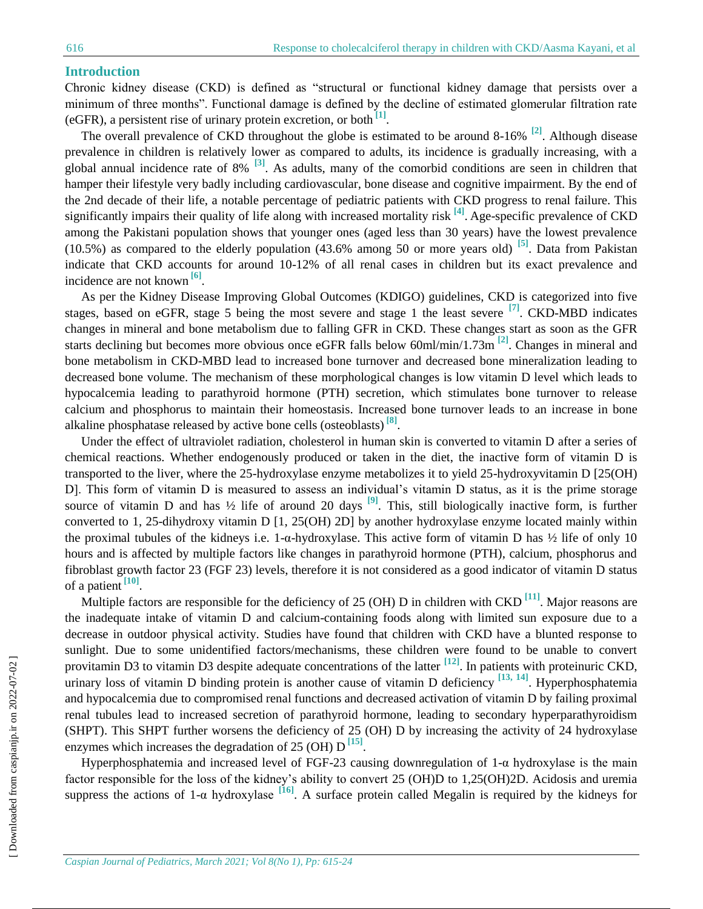### **Introduction**

Chronic kidney disease (CKD) is defined as "structural or functional kidney damage that persists over a minimum of three months". Functional damage is defined by the decline of estimated glomerular filtration rate (eGFR), a persistent rise of urinary protein excretion, or both **[1]** .

The overall prevalence of CKD throughout the globe is estimated to be around 8-16% **[2]**. Although disease prevalence in children is relatively lower as compared to adults, its incidence is gradually increasing, with a global annual incidence rate of 8% **[3]**. As adults, many of the comorbid conditions are seen in children that hamper their lifestyle very badly including cardiovascular, bone disease and cognitive impairment. By the end of the 2nd decade of their life, a notable percentage of pediatric patients with CKD progress to renal failure. This significantly impairs their quality of life along with increased mortality risk **[4]** . Age-specific prevalence of CKD among the Pakistani population shows that younger ones (aged less than 30 years) have the lowest prevalence (10.5%) as compared to the elderly population (43.6% among 50 or more years old) **[5]**. Data from Pakistan indicate that CKD accounts for around 10-12% of all renal cases in children but its exact prevalence and incidence are not known **[6]** .

As per the Kidney Disease Improving Global Outcomes (KDIGO) guidelines, CKD is categorized into five stages, based on eGFR, stage 5 being the most severe and stage 1 the least severe **[7]**. CKD-MBD indicates changes in mineral and bone metabolism due to falling GFR in CKD. These changes start as soon as the GFR starts declining but becomes more obvious once eGFR falls below 60ml/min/1.73m **[2]**. Changes in mineral and bone metabolism in CKD-MBD lead to increased bone turnover and decreased bone mineralization leading to decreased bone volume. The mechanism of these morphological changes is low vitamin D level which leads to hypocalcemia leading to parathyroid hormone (PTH) secretion, which stimulates bone turnover to release calcium and phosphorus to maintain their homeostasis. Increased bone turnover leads to an increase in bone alkaline phosphatase released by active bone cells (osteoblasts) **[8]** .

Under the effect of ultraviolet radiation, cholesterol in human skin is converted to vitamin D after a series of chemical reactions. Whether endogenously produced or taken in the diet, the inactive form of vitamin D is transported to the liver, where the 25-hydroxylase enzyme metabolizes it to yield 25-hydroxyvitamin D [25(OH) D]. This form of vitamin D is measured to assess an individual's vitamin D status, as it is the prime storage source of vitamin D and has  $\frac{1}{2}$  life of around 20 days  $\frac{1}{2}$ . This, still biologically inactive form, is further converted to 1, 25-dihydroxy vitamin D [1, 25(OH) 2D] by another hydroxylase enzyme located mainly within the proximal tubules of the kidneys i.e. 1-α-hydroxylase. This active form of vitamin D has ½ life of only 10 hours and is affected by multiple factors like changes in parathyroid hormone (PTH), calcium, phosphorus and fibroblast growth factor 23 (FGF 23) levels, therefore it is not considered as a good indicator of vitamin D status of a patient **[10]** .

Multiple factors are responsible for the deficiency of 25 (OH) D in children with CKD <sup>[11]</sup>. Major reasons are the inadequate intake of vitamin D and calcium-containing foods along with limited sun exposure due to a decrease in outdoor physical activity. Studies have found that children with CKD have a blunted response to sunlight. Due to some unidentified factors/mechanisms, these children were found to be unable to convert provitamin D3 to vitamin D3 despite adequate concentrations of the latter **[12]**. In patients with proteinuric CKD, urinary loss of vitamin D binding protein is another cause of vitamin D deficiency **[13, 14]**. Hyperphosphatemia and hypocalcemia due to compromised renal functions and decreased activation of vitamin D by failing proximal renal tubules lead to increased secretion of parathyroid hormone, leading to secondary hyperparathyroidism (SHPT). This SHPT further worsens the deficiency of 25 (OH) D by increasing the activity of 24 hydroxylase enzymes which increases the degradation of 25 (OH) D<sup>[15]</sup>.

Hyperphosphatemia and increased level of FGF-23 causing downregulation of 1-α hydroxylase is the main factor responsible for the loss of the kidney's ability to convert 25 (OH)D to 1,25(OH)2D. Acidosis and uremia suppress the actions of 1-α hydroxylase **[16]**. A surface protein called Megalin is required by the kidneys for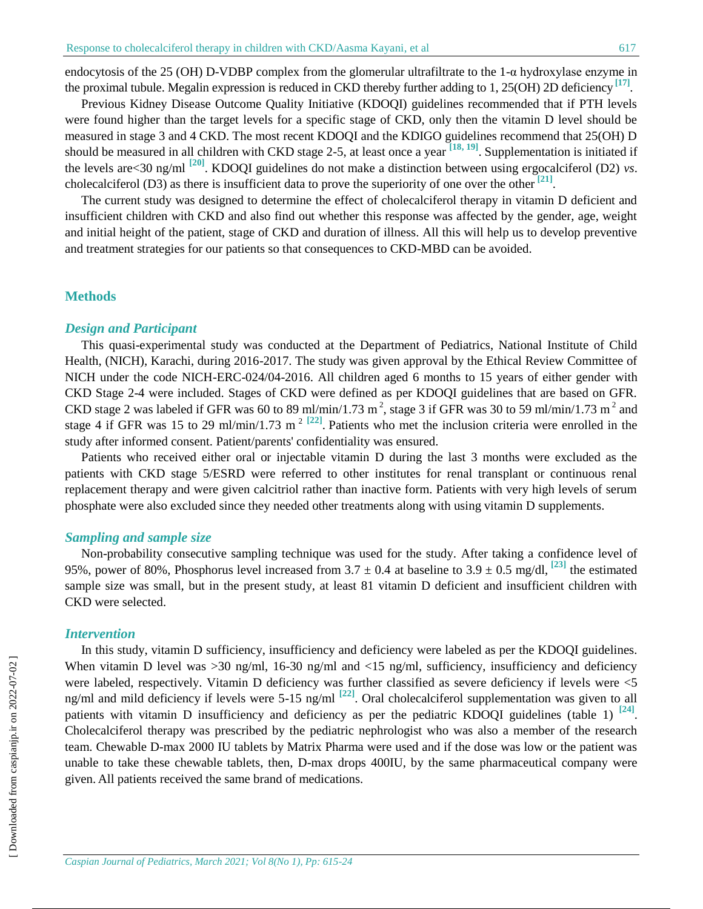endocytosis of the 25 (OH) D-VDBP complex from the glomerular ultrafiltrate to the 1-α hydroxylase enzyme in the proximal tubule. Megalin expression is reduced in CKD thereby further adding to 1, 25(OH) 2D deficiency **[17]** .

Previous Kidney Disease Outcome Quality Initiative (KDOQI) guidelines recommended that if PTH levels were found higher than the target levels for a specific stage of CKD, only then the vitamin D level should be measured in stage 3 and 4 CKD. The most recent KDOQI and the KDIGO guidelines recommend that 25(OH) D should be measured in all children with CKD stage 2-5, at least once a year  $\left[18, 19\right]$ . Supplementation is initiated if the levels are<30 ng/ml **[20]**. KDOQI guidelines do not make a distinction between using ergocalciferol (D2) *vs*. cholecalciferol (D3) as there is insufficient data to prove the superiority of one over the other <sup>[21]</sup>

The current study was designed to determine the effect of cholecalciferol therapy in vitamin D deficient and insufficient children with CKD and also find out whether this response was affected by the gender, age, weight and initial height of the patient, stage of CKD and duration of illness. All this will help us to develop preventive and treatment strategies for our patients so that consequences to CKD-MBD can be avoided.

### **Methods**

### *Design and Participant*

This quasi-experimental study was conducted at the Department of Pediatrics, National Institute of Child Health, (NICH), Karachi, during 2016-2017. The study was given approval by the Ethical Review Committee of NICH under the code NICH-ERC-024/04-2016. All children aged 6 months to 15 years of either gender with CKD Stage 2-4 were included. Stages of CKD were defined as per KDOQI guidelines that are based on GFR. CKD stage 2 was labeled if GFR was 60 to 89 ml/min/1.73 m<sup>2</sup>, stage 3 if GFR was 30 to 59 ml/min/1.73 m<sup>2</sup> and stage 4 if GFR was 15 to 29 ml/min/1.73 m<sup>2 [22]</sup>. Patients who met the inclusion criteria were enrolled in the study after informed consent. Patient/parents' confidentiality was ensured.

Patients who received either oral or injectable vitamin D during the last 3 months were excluded as the patients with CKD stage 5/ESRD were referred to other institutes for renal transplant or continuous renal replacement therapy and were given calcitriol rather than inactive form. Patients with very high levels of serum phosphate were also excluded since they needed other treatments along with using vitamin D supplements.

### *Sampling and sample size*

Non-probability consecutive sampling technique was used for the study. After taking a confidence level of 95%, power of 80%, Phosphorus level increased from  $3.7 \pm 0.4$  at baseline to  $3.9 \pm 0.5$  mg/dl, <sup>[23]</sup> the estimated sample size was small, but in the present study, at least 81 vitamin D deficient and insufficient children with CKD were selected.

#### *Intervention*

In this study, vitamin D sufficiency, insufficiency and deficiency were labeled as per the KDOQI guidelines. When vitamin D level was  $>$ 30 ng/ml, 16-30 ng/ml and <15 ng/ml, sufficiency, insufficiency and deficiency were labeled, respectively. Vitamin D deficiency was further classified as severe deficiency if levels were <5 ng/ml and mild deficiency if levels were 5-15 ng/ml **[22]** . Oral cholecalciferol supplementation was given to all patients with vitamin D insufficiency and deficiency as per the pediatric KDOQI guidelines (table 1) <sup>[24]</sup>. Cholecalciferol therapy was prescribed by the pediatric nephrologist who was also a member of the research team. Chewable D-max 2000 IU tablets by Matrix Pharma were used and if the dose was low or the patient was unable to take these chewable tablets, then, D-max drops 400IU, by the same pharmaceutical company were given. All patients received the same brand of medications.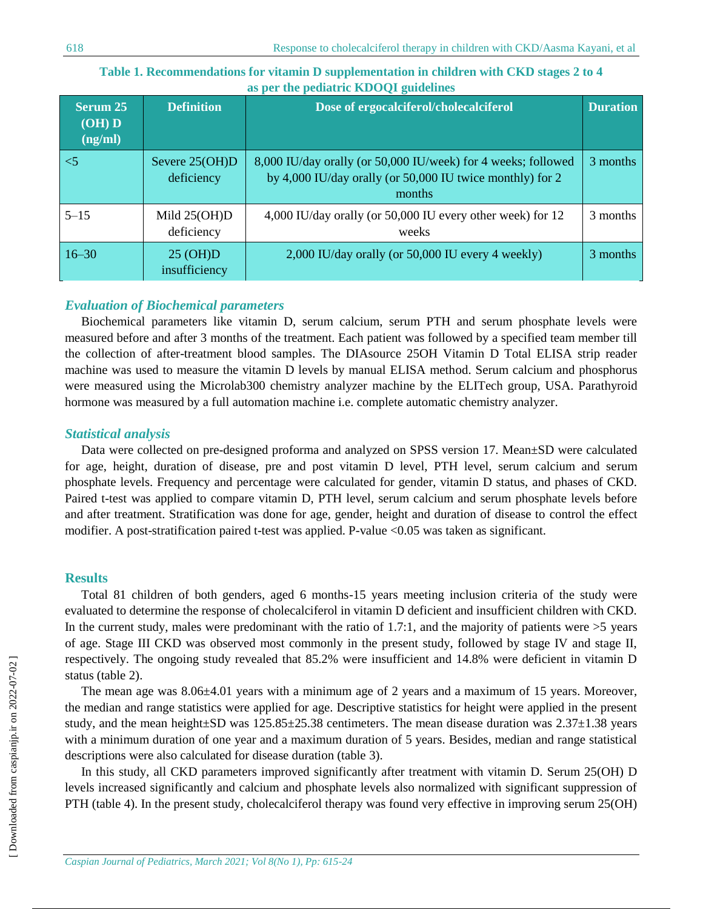| Serum 25<br>$(OH)$ $D$<br>(ng/ml) | <b>Definition</b>                    | Dose of ergocalciferol/cholecalciferol                                                                                               | <b>Duration</b> |
|-----------------------------------|--------------------------------------|--------------------------------------------------------------------------------------------------------------------------------------|-----------------|
| $\leq$ 5                          | Severe 25(OH)D<br>deficiency         | 8,000 IU/day orally (or 50,000 IU/week) for 4 weeks; followed<br>by 4,000 IU/day orally (or 50,000 IU twice monthly) for 2<br>months | 3 months        |
| $5 - 15$                          | Mild $25(OH)D$<br>deficiency         | 4,000 IU/day orally (or 50,000 IU every other week) for 12<br>weeks                                                                  | 3 months        |
| $16 - 30$                         | $25 \text{ (OH)}$ D<br>insufficiency | 2,000 IU/day orally (or 50,000 IU every 4 weekly)                                                                                    | 3 months        |

## **Table 1. Recommendations for vitamin D supplementation in children with CKD stages 2 to 4 as per the pediatric KDOQI guidelines**

## *Evaluation of Biochemical parameters*

Biochemical parameters like vitamin D, serum calcium, serum PTH and serum phosphate levels were measured before and after 3 months of the treatment. Each patient was followed by a specified team member till the collection of after-treatment blood samples. The DIAsource 25OH Vitamin D Total ELISA strip reader machine was used to measure the vitamin D levels by manual ELISA method. Serum calcium and phosphorus were measured using the Microlab300 chemistry analyzer machine by the ELITech group, USA. Parathyroid hormone was measured by a full automation machine i.e. complete automatic chemistry analyzer.

## *Statistical analysis*

Data were collected on pre-designed proforma and analyzed on SPSS version 17. Mean±SD were calculated for age, height, duration of disease, pre and post vitamin D level, PTH level, serum calcium and serum phosphate levels. Frequency and percentage were calculated for gender, vitamin D status, and phases of CKD. Paired t-test was applied to compare vitamin D, PTH level, serum calcium and serum phosphate levels before and after treatment. Stratification was done for age, gender, height and duration of disease to control the effect modifier. A post-stratification paired t-test was applied. P-value <0.05 was taken as significant.

## **Results**

Total 81 children of both genders, aged 6 months-15 years meeting inclusion criteria of the study were evaluated to determine the response of cholecalciferol in vitamin D deficient and insufficient children with CKD. In the current study, males were predominant with the ratio of 1.7:1, and the majority of patients were  $>5$  years of age. Stage III CKD was observed most commonly in the present study, followed by stage IV and stage II, respectively. The ongoing study revealed that 85.2% were insufficient and 14.8% were deficient in vitamin D status (table 2).

The mean age was 8.06±4.01 years with a minimum age of 2 years and a maximum of 15 years. Moreover, the median and range statistics were applied for age. Descriptive statistics for height were applied in the present study, and the mean height $\pm$ SD was 125.85 $\pm$ 25.38 centimeters. The mean disease duration was 2.37 $\pm$ 1.38 years with a minimum duration of one year and a maximum duration of 5 years. Besides, median and range statistical descriptions were also calculated for disease duration (table 3).

In this study, all CKD parameters improved significantly after treatment with vitamin D. Serum 25(OH) D levels increased significantly and calcium and phosphate levels also normalized with significant suppression of PTH (table 4). In the present study, cholecalciferol therapy was found very effective in improving serum 25(OH)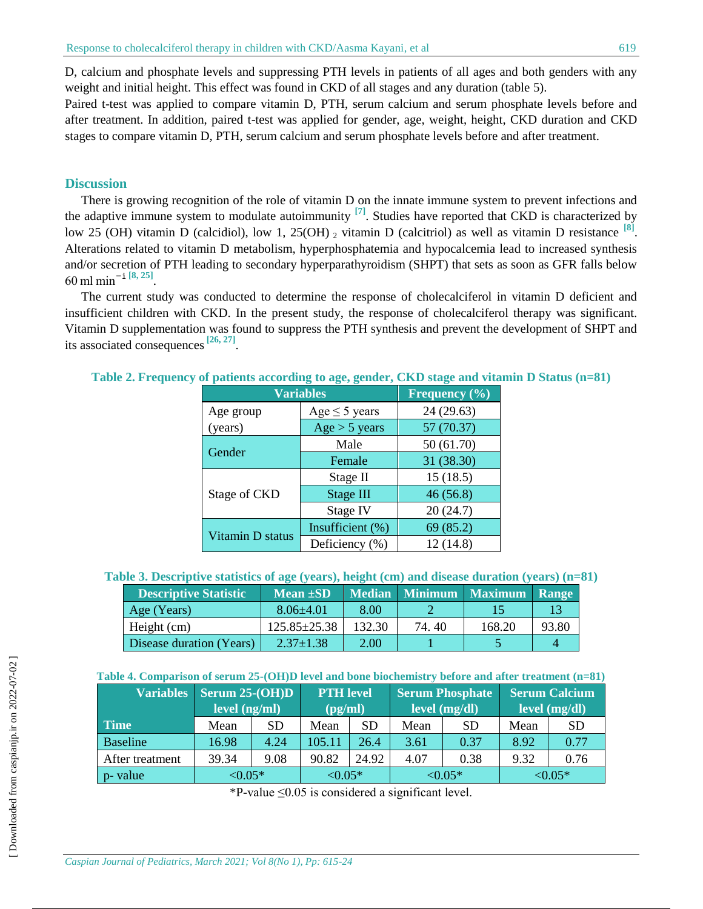D, calcium and phosphate levels and suppressing PTH levels in patients of all ages and both genders with any weight and initial height. This effect was found in CKD of all stages and any duration (table 5).

Paired t-test was applied to compare vitamin D, PTH, serum calcium and serum phosphate levels before and after treatment. In addition, paired t-test was applied for gender, age, weight, height, CKD duration and CKD stages to compare vitamin D, PTH, serum calcium and serum phosphate levels before and after treatment.

## **Discussion**

There is growing recognition of the role of vitamin D on the innate immune system to prevent infections and the adaptive immune system to modulate autoimmunity **[7]**. Studies have reported that CKD is characterized by low 25 (OH) vitamin D (calcidiol), low 1, 25(OH)  $_2$  vitamin D (calcitriol) as well as vitamin D resistance  $\frac{8}{18}$ . Alterations related to vitamin D metabolism, hyperphosphatemia and hypocalcemia lead to increased synthesis and/or secretion of PTH leading to secondary hyperparathyroidism (SHPT) that sets as soon as GFR falls below 60 ml min<sup>−</sup>i **[8, 25]** .

The current study was conducted to determine the response of cholecalciferol in vitamin D deficient and insufficient children with CKD. In the present study, the response of cholecalciferol therapy was significant. Vitamin D supplementation was found to suppress the PTH synthesis and prevent the development of SHPT and its associated consequences**[26, 27]** .

| <b>Variables</b> | Frequency (%)      |            |  |  |  |
|------------------|--------------------|------------|--|--|--|
| Age group        | Age $\leq$ 5 years | 24 (29.63) |  |  |  |
| (years)          | Age > 5 years      | 57 (70.37) |  |  |  |
|                  | Male               | 50 (61.70) |  |  |  |
| Gender           | Female             | 31 (38.30) |  |  |  |
|                  | Stage II           | 15(18.5)   |  |  |  |
| Stage of CKD     | Stage III          | 46(56.8)   |  |  |  |
|                  | Stage IV           | 20(24.7)   |  |  |  |
|                  | Insufficient (%)   | 69 (85.2)  |  |  |  |
| Vitamin D status | Deficiency (%)     | 12(14.8)   |  |  |  |

**Table 2. Frequency of patients according to age, gender, CKD stage and vitamin D Status (n=81)**

**Table 3. Descriptive statistics of age (years), height (cm) and disease duration (years) (n=81)**

| <b>Descriptive Statistic</b> | Mean $\pm SD$      |        |       | Median Minimum Maximum Range |       |
|------------------------------|--------------------|--------|-------|------------------------------|-------|
| Age (Years)                  | $8.06\pm4.01$      | 8.00   |       |                              |       |
| Height (cm)                  | $125.85 \pm 25.38$ | 132.30 | 74.40 | 168.20                       | 93.80 |
| Disease duration (Years)     | $2.37 \pm 1.38$    | 2.00   |       |                              |       |

|                 | Variables   Serum 25-(OH)D |           | <b>PTH</b> level |           | <b>Serum Phosphate</b>               |           | <b>Serum Calcium</b>                      |           |
|-----------------|----------------------------|-----------|------------------|-----------|--------------------------------------|-----------|-------------------------------------------|-----------|
|                 | level (ng/ml)              |           | (pg/ml)          |           | $\lceil \text{level (mg/dl)} \rceil$ |           | $\lceil$ level $(\overline{mg/dl})\rceil$ |           |
| <b>Time</b>     | Mean                       | <b>SD</b> | Mean             | <b>SD</b> | Mean                                 | <b>SD</b> | Mean                                      | <b>SD</b> |
| <b>Baseline</b> | 16.98                      | 4.24      | 105.11           | 26.4      | 3.61                                 | 0.37      | 8.92                                      | 0.77      |
| After treatment | 39.34                      | 9.08      | 90.82            | 24.92     | 4.07                                 | 0.38      | 9.32                                      | 0.76      |
| p- value        | ${<}0.05*$                 |           | ${<}0.05*$       |           | ${<}0.05*$                           |           | ${<}0.05*$                                |           |

 $*P$ -value  $\leq 0.05$  is considered a significant level.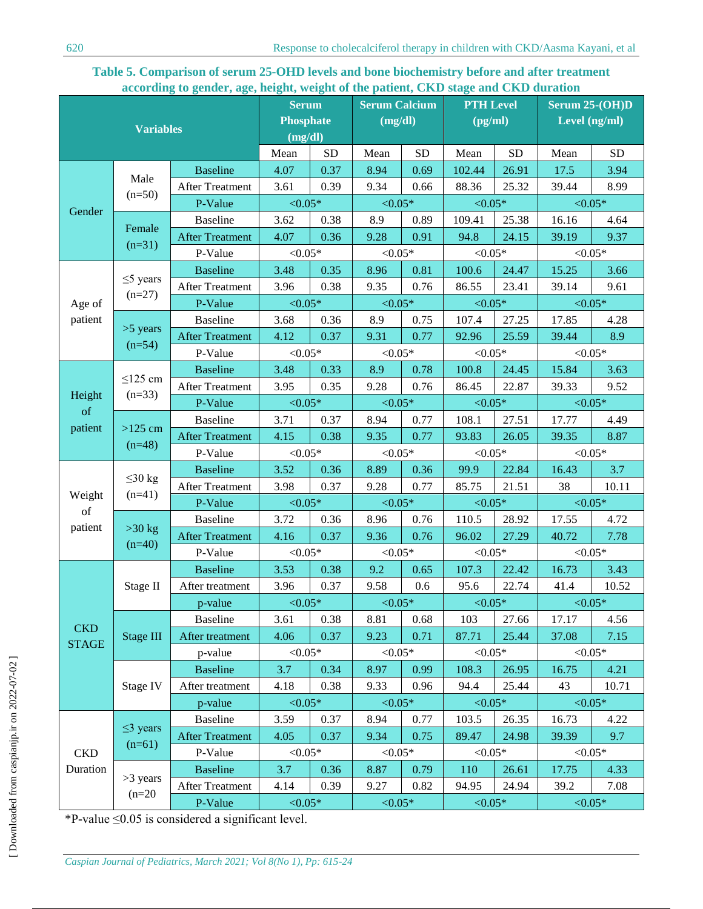## **Table 5. Comparison of serum 25-OHD levels and bone biochemistry before and after treatment according to gender, age, height, weight of the patient, CKD stage and CKD duration**

| <b>Variables</b>           |                          | <b>Serum</b><br><b>Phosphate</b><br>(mg/dl) |                          | <b>Serum Calcium</b><br>(mg/dl) |            | <b>PTH Level</b><br>$\left(\frac{pg}{ml}\right)$ |              | Serum 25-(OH)D<br>Level (ng/ml) |            |           |
|----------------------------|--------------------------|---------------------------------------------|--------------------------|---------------------------------|------------|--------------------------------------------------|--------------|---------------------------------|------------|-----------|
|                            |                          |                                             | Mean                     | <b>SD</b>                       | Mean       | <b>SD</b>                                        | Mean         | <b>SD</b>                       | Mean       | <b>SD</b> |
|                            |                          | <b>Baseline</b>                             | 4.07                     | 0.37                            | 8.94       | 0.69                                             | 102.44       | 26.91                           | 17.5       | 3.94      |
|                            | Male                     | <b>After Treatment</b>                      | 3.61                     | 0.39                            | 9.34       | 0.66                                             | 88.36        | 25.32                           | 39.44      | 8.99      |
|                            | $(n=50)$                 | P-Value                                     | ${<}0.05*$               |                                 | ${<}0.05*$ |                                                  | ${<}0.05*$   |                                 | ${<}0.05*$ |           |
| Gender                     |                          | <b>Baseline</b>                             | 3.62                     | 0.38                            | 8.9        | 0.89                                             | 109.41       | 25.38                           | 16.16      | 4.64      |
|                            | Female                   | <b>After Treatment</b>                      | 4.07                     | 0.36                            | 9.28       | 0.91                                             | 94.8         | 24.15                           | 39.19      | 9.37      |
|                            | $(n=31)$                 | P-Value                                     | ${<}0.05*$               |                                 | ${<}0.05*$ |                                                  | ${<}0.05*$   |                                 | ${<}0.05*$ |           |
|                            |                          | <b>Baseline</b>                             | 3.48                     | 0.35                            | 8.96       | 0.81                                             | 100.6        | 24.47                           | 15.25      | 3.66      |
|                            | $\leq$ 5 years           | <b>After Treatment</b>                      | 3.96                     | 0.38                            | 9.35       | 0.76                                             | 86.55        | 23.41                           | 39.14      | 9.61      |
| Age of                     | $(n=27)$                 | P-Value                                     | ${<}0.05*$               |                                 | ${<}0.05*$ |                                                  | $< 0.05*$    |                                 | ${<}0.05*$ |           |
| patient                    |                          | <b>Baseline</b>                             | 3.68                     | 0.36                            | 8.9        | 0.75                                             | 107.4        | 27.25                           | 17.85      | 4.28      |
|                            | $>5$ years               | <b>After Treatment</b>                      | 4.12                     | 0.37                            | 9.31       | 0.77                                             | 92.96        | 25.59                           | 39.44      | 8.9       |
|                            | $(n=54)$                 | P-Value                                     | ${<}0.05*$               |                                 | ${<}0.05*$ |                                                  | ${<}0.05*$   |                                 | ${<}0.05*$ |           |
|                            |                          | <b>Baseline</b>                             | 3.48                     | 0.33                            | 8.9        | 0.78                                             | 100.8        | 24.45                           | 15.84      | 3.63      |
|                            | $\leq$ 125 cm            | <b>After Treatment</b>                      | 3.95                     | 0.35                            | 9.28       | 0.76                                             | 86.45        | 22.87                           | 39.33      | 9.52      |
| Height<br>of               | $(n=33)$                 | P-Value                                     | ${<}0.05*$               |                                 | ${<}0.05*$ |                                                  | $\leq 0.05*$ |                                 | ${<}0.05*$ |           |
|                            |                          | Baseline                                    | 3.71                     | 0.37                            | 8.94       | 0.77                                             | 108.1        | 27.51                           | 17.77      | 4.49      |
| patient                    | $>125$ cm                | <b>After Treatment</b>                      | 4.15                     | 0.38                            | 9.35       | 0.77                                             | 93.83        | 26.05                           | 39.35      | 8.87      |
|                            | $(n=48)$                 | P-Value                                     | ${<}0.05*$               |                                 | ${<}0.05*$ |                                                  | ${<}0.05*$   |                                 | ${<}0.05*$ |           |
|                            |                          | <b>Baseline</b>                             | 3.52                     | 0.36                            | 8.89       | 0.36                                             | 99.9         | 22.84                           | 16.43      | 3.7       |
|                            | $\leq$ 30 kg<br>$(n=41)$ | <b>After Treatment</b>                      | 3.98                     | 0.37                            | 9.28       | 0.77                                             | 85.75        | 21.51                           | 38         | 10.11     |
| Weight<br>of               |                          | P-Value                                     | ${<}0.05*$<br>${<}0.05*$ |                                 | ${<}0.05*$ |                                                  | ${<}0.05*$   |                                 |            |           |
| patient                    |                          | <b>Baseline</b>                             | 3.72                     | 0.36                            | 8.96       | 0.76                                             | 110.5        | 28.92                           | 17.55      | 4.72      |
|                            | $>30$ kg<br>$(n=40)$     | <b>After Treatment</b>                      | 4.16                     | 0.37                            | 9.36       | 0.76                                             | 96.02        | 27.29                           | 40.72      | 7.78      |
|                            |                          | P-Value                                     | ${<}0.05*$               |                                 | ${<}0.05*$ |                                                  | $< 0.05*$    |                                 | ${<}0.05*$ |           |
|                            |                          | <b>Baseline</b>                             | 3.53                     | 0.38                            | 9.2        | 0.65                                             | 107.3        | 22.42                           | 16.73      | 3.43      |
|                            | Stage II                 | After treatment                             | 3.96                     | 0.37                            | 9.58       | 0.6                                              | 95.6         | 22.74                           | 41.4       | 10.52     |
|                            |                          | p-value                                     | ${<}0.05*$               |                                 | ${<}0.05*$ |                                                  | ${<}0.05*$   |                                 | ${<}0.05*$ |           |
|                            |                          | <b>Baseline</b>                             | 3.61                     | 0.38                            | 8.81       | 0.68                                             | 103          | 27.66                           | 17.17      | 4.56      |
| <b>CKD</b><br><b>STAGE</b> | <b>Stage III</b>         | After treatment                             | 4.06                     | 0.37                            | 9.23       | 0.71                                             | 87.71        | 25.44                           | 37.08      | 7.15      |
|                            |                          | p-value                                     | ${<}0.05*$               |                                 | ${<}0.05*$ |                                                  | $< 0.05*$    |                                 | ${<}0.05*$ |           |
|                            |                          | <b>Baseline</b>                             | 3.7                      | 0.34                            | 8.97       | 0.99                                             | 108.3        | 26.95                           | 16.75      | 4.21      |
|                            | Stage IV                 | After treatment                             | 4.18                     | 0.38                            | 9.33       | 0.96                                             | 94.4         | 25.44                           | 43         | 10.71     |
|                            |                          | p-value                                     | ${<}0.05*$               |                                 | ${<}0.05*$ |                                                  | $< 0.05*$    |                                 | ${<}0.05*$ |           |
|                            |                          | <b>Baseline</b>                             | 3.59                     | 0.37                            | 8.94       | 0.77                                             | 103.5        | 26.35                           | 16.73      | 4.22      |
|                            | $\leq$ 3 years           | <b>After Treatment</b>                      | 4.05                     | 0.37                            | 9.34       | 0.75                                             | 89.47        | 24.98                           | 39.39      | 9.7       |
| <b>CKD</b>                 | $(n=61)$                 | P-Value                                     | ${<}0.05*$               |                                 | ${<}0.05*$ |                                                  | ${<}0.05*$   |                                 | ${<}0.05*$ |           |
| Duration                   |                          | <b>Baseline</b>                             | 3.7                      | 0.36                            | 8.87       | 0.79                                             | 110          | 26.61                           | 17.75      | 4.33      |
|                            | $>3$ years               | <b>After Treatment</b>                      | 4.14                     | 0.39                            | 9.27       | 0.82                                             | 94.95        | 24.94                           | 39.2       | 7.08      |
|                            | $(n=20)$                 | P-Value                                     | ${<}0.05*$               |                                 | ${<}0.05*$ |                                                  | ${<}0.05*$   |                                 | ${<}0.05*$ |           |

\*P-value ≤0.05 is considered a significant level.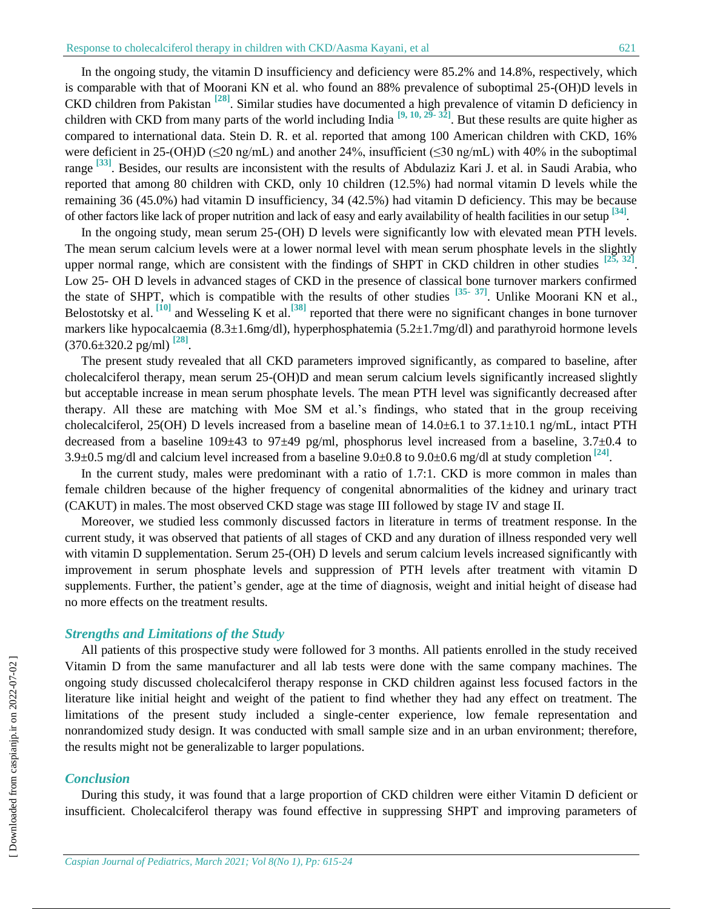In the ongoing study, the vitamin D insufficiency and deficiency were 85.2% and 14.8%, respectively, which is comparable with that of Moorani KN et al. who found an 88% prevalence of suboptimal 25-(OH)D levels in CKD children from Pakistan **[28]**. Similar studies have documented a high prevalence of vitamin D deficiency in children with CKD from many parts of the world including India **[9, 10, 29- 32]** . But these results are quite higher as compared to international data. Stein D. R. et al. reported that among 100 American children with CKD, 16% were deficient in 25-(OH)D (≤20 ng/mL) and another 24%, insufficient (≤30 ng/mL) with 40% in the suboptimal range **[33]**. Besides, our results are inconsistent with the results of Abdulaziz Kari J. et al. in Saudi Arabia, who reported that among 80 children with CKD, only 10 children (12.5%) had normal vitamin D levels while the remaining 36 (45.0%) had vitamin D insufficiency, 34 (42.5%) had vitamin D deficiency. This may be because of other factors like lack of proper nutrition and lack of easy and early availability of health facilities in our setup **[34]** .

In the ongoing study, mean serum 25-(OH) D levels were significantly low with elevated mean PTH levels. The mean serum calcium levels were at a lower normal level with mean serum phosphate levels in the slightly upper normal range, which are consistent with the findings of SHPT in CKD children in other studies  $[2\bar{5}, 32]$ . Low 25- OH D levels in advanced stages of CKD in the presence of classical bone turnover markers confirmed the state of SHPT, which is compatible with the results of other studies **[35- 37]**. Unlike Moorani KN et al., Belostotsky et al. **[10]** and Wesseling K et al.**[38]** reported that there were no significant changes in bone turnover markers like hypocalcaemia (8.3±1.6mg/dl), hyperphosphatemia (5.2±1.7mg/dl) and parathyroid hormone levels (370.6±320.2 pg/ml) **[28]** .

The present study revealed that all CKD parameters improved significantly, as compared to baseline, after cholecalciferol therapy, mean serum 25-(OH)D and mean serum calcium levels significantly increased slightly but acceptable increase in mean serum phosphate levels. The mean PTH level was significantly decreased after therapy. All these are matching with Moe SM et al.'s findings, who stated that in the group receiving cholecalciferol, 25(OH) D levels increased from a baseline mean of  $14.0\pm6.1$  to  $37.1\pm10.1$  ng/mL, intact PTH decreased from a baseline  $109\pm43$  to  $97\pm49$  pg/ml, phosphorus level increased from a baseline, 3.7 $\pm$ 0.4 to 3.9±0.5 mg/dl and calcium level increased from a baseline 9.0±0.8 to 9.0±0.6 mg/dl at study completion **[24]** .

In the current study, males were predominant with a ratio of 1.7:1. CKD is more common in males than female children because of the higher frequency of congenital abnormalities of the kidney and urinary tract (CAKUT) in males.The most observed CKD stage was stage III followed by stage IV and stage II.

Moreover, we studied less commonly discussed factors in literature in terms of treatment response. In the current study, it was observed that patients of all stages of CKD and any duration of illness responded very well with vitamin D supplementation. Serum 25-(OH) D levels and serum calcium levels increased significantly with improvement in serum phosphate levels and suppression of PTH levels after treatment with vitamin D supplements. Further, the patient's gender, age at the time of diagnosis, weight and initial height of disease had no more effects on the treatment results.

### *Strengths and Limitations of the Study*

All patients of this prospective study were followed for 3 months. All patients enrolled in the study received Vitamin D from the same manufacturer and all lab tests were done with the same company machines. The ongoing study discussed cholecalciferol therapy response in CKD children against less focused factors in the literature like initial height and weight of the patient to find whether they had any effect on treatment. The limitations of the present study included a single-center experience, low female representation and nonrandomized study design. It was conducted with small sample size and in an urban environment; therefore, the results might not be generalizable to larger populations.

#### *Conclusion*

During this study, it was found that a large proportion of CKD children were either Vitamin D deficient or insufficient. Cholecalciferol therapy was found effective in suppressing SHPT and improving parameters of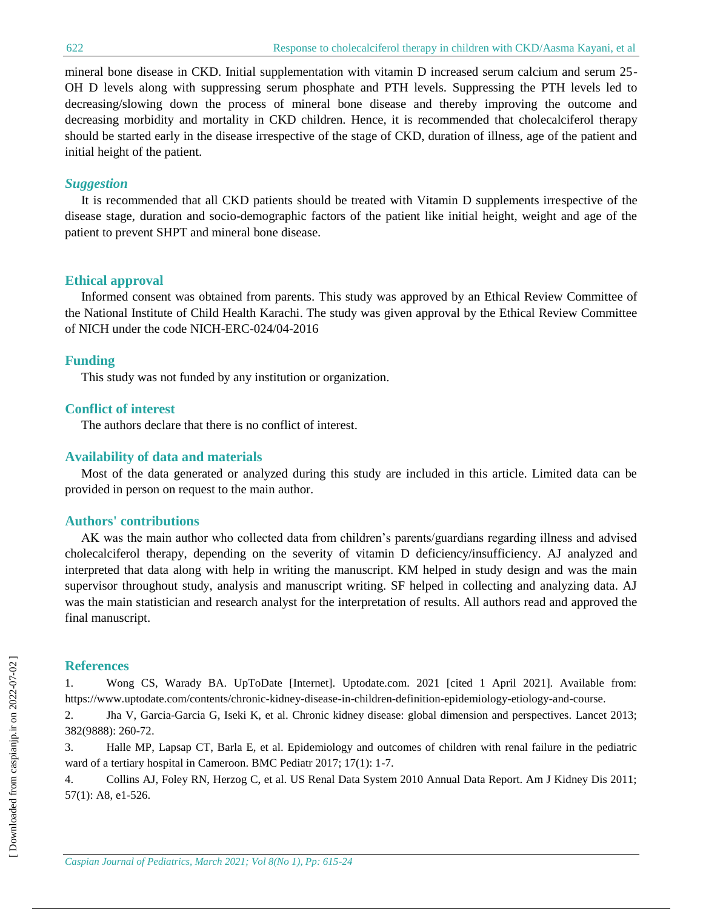mineral bone disease in CKD. Initial supplementation with vitamin D increased serum calcium and serum 25- OH D levels along with suppressing serum phosphate and PTH levels. Suppressing the PTH levels led to decreasing/slowing down the process of mineral bone disease and thereby improving the outcome and decreasing morbidity and mortality in CKD children. Hence, it is recommended that cholecalciferol therapy should be started early in the disease irrespective of the stage of CKD, duration of illness, age of the patient and initial height of the patient.

## *Suggestion*

It is recommended that all CKD patients should be treated with Vitamin D supplements irrespective of the disease stage, duration and socio-demographic factors of the patient like initial height, weight and age of the patient to prevent SHPT and mineral bone disease.

## **Ethical approval**

Informed consent was obtained from parents. This study was approved by an Ethical Review Committee of the National Institute of Child Health Karachi. The study was given approval by the Ethical Review Committee of NICH under the code NICH-ERC-024/04-2016

## **Funding**

This study was not funded by any institution or organization.

### **Conflict of interest**

The authors declare that there is no conflict of interest.

## **Availability of data and materials**

Most of the data generated or analyzed during this study are included in this article. Limited data can be provided in person on request to the main author.

## **Authors' contributions**

AK was the main author who collected data from children's parents/guardians regarding illness and advised cholecalciferol therapy, depending on the severity of vitamin D deficiency/insufficiency. AJ analyzed and interpreted that data along with help in writing the manuscript. KM helped in study design and was the main supervisor throughout study, analysis and manuscript writing. SF helped in collecting and analyzing data. AJ was the main statistician and research analyst for the interpretation of results. All authors read and approved the final manuscript.

### **References**

1. Wong CS, Warady BA. UpToDate [Internet]. Uptodate.com. 2021 [cited 1 April 2021]. Available from: https://www.uptodate.com/contents/chronic-kidney-disease-in-children-definition-epidemiology-etiology-and-course.

2. Jha V, Garcia-Garcia G, Iseki K, et al. Chronic kidney disease: global dimension and perspectives. Lancet 2013; 382(9888): 260-72.

3. Halle MP, Lapsap CT, Barla E, et al. Epidemiology and outcomes of children with renal failure in the pediatric ward of a tertiary hospital in Cameroon. BMC Pediatr 2017; 17(1): 1-7.

4. Collins AJ, Foley RN, Herzog C, et al. US Renal Data System 2010 Annual Data Report. Am J Kidney Dis 2011; 57(1): A8, e1-526.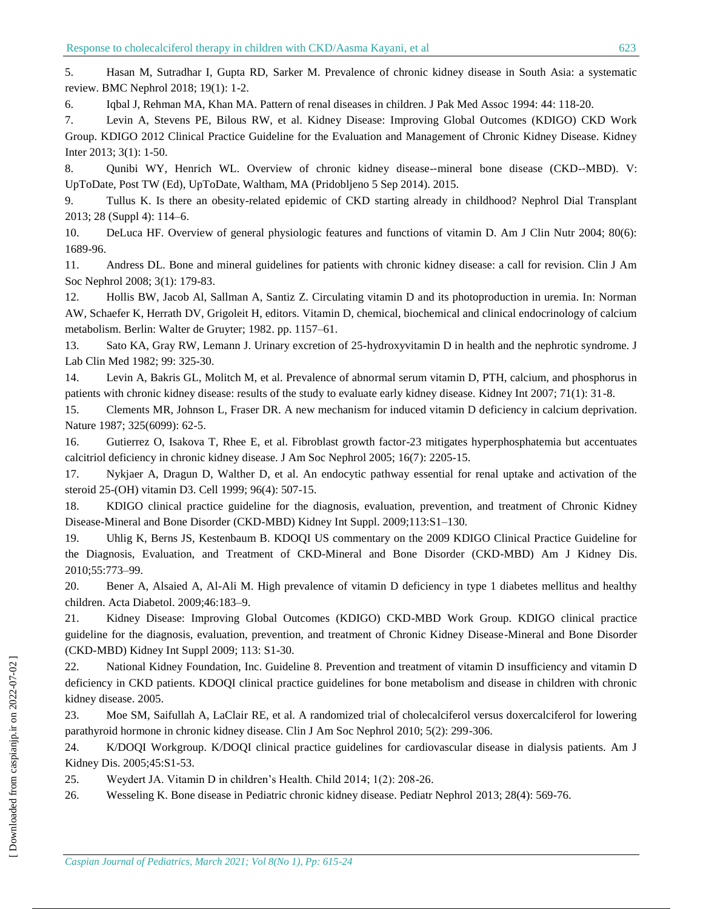5. Hasan M, Sutradhar I, Gupta RD, Sarker M. Prevalence of chronic kidney disease in South Asia: a systematic review. BMC Nephrol 2018; 19(1): 1-2.

6. Iqbal J, Rehman MA, Khan MA. Pattern of renal diseases in children. J Pak Med Assoc 1994: 44: 118-20.

7. Levin A, Stevens PE, Bilous RW, et al. Kidney Disease: Improving Global Outcomes (KDIGO) CKD Work Group. KDIGO 2012 Clinical Practice Guideline for the Evaluation and Management of Chronic Kidney Disease. Kidney Inter 2013; 3(1): 1-50.

8. Qunibi WY, Henrich WL. Overview of chronic kidney disease--mineral bone disease (CKD--MBD). V: UpToDate, Post TW (Ed), UpToDate, Waltham, MA (Pridobljeno 5 Sep 2014). 2015.

9. Tullus K. Is there an obesity-related epidemic of CKD starting already in childhood? Nephrol Dial Transplant 2013; 28 (Suppl 4): 114–6.

10. DeLuca HF. Overview of general physiologic features and functions of vitamin D. Am J Clin Nutr 2004; 80(6): 1689-96.

11. Andress DL. Bone and mineral guidelines for patients with chronic kidney disease: a call for revision. Clin J Am Soc Nephrol 2008; 3(1): 179-83.

12. Hollis BW, Jacob Al, Sallman A, Santiz Z. Circulating vitamin D and its photoproduction in uremia. In: Norman AW, Schaefer K, Herrath DV, Grigoleit H, editors. Vitamin D, chemical, biochemical and clinical endocrinology of calcium metabolism. Berlin: Walter de Gruyter; 1982. pp. 1157–61.

13. Sato KA, Gray RW, Lemann J. Urinary excretion of 25-hydroxyvitamin D in health and the nephrotic syndrome. J Lab Clin Med 1982; 99: 325-30.

14. Levin A, Bakris GL, Molitch M, et al. Prevalence of abnormal serum vitamin D, PTH, calcium, and phosphorus in patients with chronic kidney disease: results of the study to evaluate early kidney disease. Kidney Int 2007; 71(1): 31-8.

15. Clements MR, Johnson L, Fraser DR. A new mechanism for induced vitamin D deficiency in calcium deprivation. Nature 1987; 325(6099): 62-5.

16. Gutierrez O, Isakova T, Rhee E, et al. Fibroblast growth factor-23 mitigates hyperphosphatemia but accentuates calcitriol deficiency in chronic kidney disease. J Am Soc Nephrol 2005; 16(7): 2205-15.

17. Nykjaer A, Dragun D, Walther D, et al. An endocytic pathway essential for renal uptake and activation of the steroid 25-(OH) vitamin D3. Cell 1999; 96(4): 507-15.

18. KDIGO clinical practice guideline for the diagnosis, evaluation, prevention, and treatment of Chronic Kidney Disease-Mineral and Bone Disorder (CKD-MBD) Kidney Int Suppl. 2009;113:S1–130.

19. Uhlig K, Berns JS, Kestenbaum B. KDOQI US commentary on the 2009 KDIGO Clinical Practice Guideline for the Diagnosis, Evaluation, and Treatment of CKD-Mineral and Bone Disorder (CKD-MBD) Am J Kidney Dis. 2010;55:773–99.

20. Bener A, Alsaied A, Al-Ali M. High prevalence of vitamin D deficiency in type 1 diabetes mellitus and healthy children. Acta Diabetol. 2009;46:183–9.

21. Kidney Disease: Improving Global Outcomes (KDIGO) CKD-MBD Work Group. KDIGO clinical practice guideline for the diagnosis, evaluation, prevention, and treatment of Chronic Kidney Disease-Mineral and Bone Disorder (CKD-MBD) Kidney Int Suppl 2009; 113: S1-30.

22. National Kidney Foundation, Inc. Guideline 8. Prevention and treatment of vitamin D insufficiency and vitamin D deficiency in CKD patients. KDOQI clinical practice guidelines for bone metabolism and disease in children with chronic kidney disease. 2005.

23. Moe SM, Saifullah A, LaClair RE, et al. A randomized trial of cholecalciferol versus doxercalciferol for lowering parathyroid hormone in chronic kidney disease. Clin J Am Soc Nephrol 2010; 5(2): 299-306.

24. K/DOQI Workgroup. K/DOQI clinical practice guidelines for cardiovascular disease in dialysis patients. Am J Kidney Dis. 2005;45:S1-53.

25. Weydert JA. Vitamin D in children's Health. Child 2014; 1(2): 208-26.

26. Wesseling K. Bone disease in Pediatric chronic kidney disease. Pediatr Nephrol 2013; 28(4): 569-76.